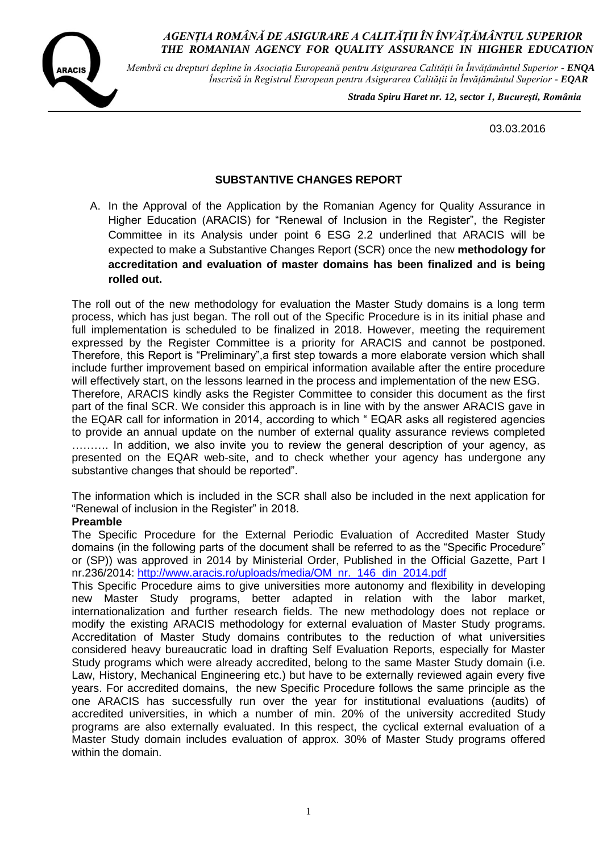

*Membră cu drepturi depline în Asociația Europeană pentru Asigurarea Calității în Învățământul Superior - ENQA Înscrisă în Registrul European pentru Asigurarea Calității în Învățământul Superior - EQAR*

 *Strada Spiru Haret nr. 12, sector 1, Bucureşti, România*

03.03.2016

### **SUBSTANTIVE CHANGES REPORT**

A. In the Approval of the Application by the Romanian Agency for Quality Assurance in Higher Education (ARACIS) for "Renewal of Inclusion in the Register", the Register Committee in its Analysis under point 6 ESG 2.2 underlined that ARACIS will be expected to make a Substantive Changes Report (SCR) once the new **methodology for accreditation and evaluation of master domains has been finalized and is being rolled out.**

The roll out of the new methodology for evaluation the Master Study domains is a long term process, which has just began. The roll out of the Specific Procedure is in its initial phase and full implementation is scheduled to be finalized in 2018. However, meeting the requirement expressed by the Register Committee is a priority for ARACIS and cannot be postponed. Therefore, this Report is "Preliminary",a first step towards a more elaborate version which shall include further improvement based on empirical information available after the entire procedure will effectively start, on the lessons learned in the process and implementation of the new ESG. Therefore, ARACIS kindly asks the Register Committee to consider this document as the first part of the final SCR. We consider this approach is in line with by the answer ARACIS gave in the EQAR call for information in 2014, according to which " EQAR asks all registered agencies to provide an annual update on the number of external quality assurance reviews completed ........... In addition, we also invite you to review the general description of your agency, as presented on the EQAR web-site, and to check whether your agency has undergone any substantive changes that should be reported".

The information which is included in the SCR shall also be included in the next application for "Renewal of inclusion in the Register" in 2018.

#### **Preamble**

The Specific Procedure for the External Periodic Evaluation of Accredited Master Study domains (in the following parts of the document shall be referred to as the "Specific Procedure" or (SP)) was approved in 2014 by Ministerial Order, Published in the Official Gazette, Part I nr.236/2014: [http://www.aracis.ro/uploads/media/OM\\_nr.\\_146\\_din\\_2014.pdf](http://www.aracis.ro/uploads/media/OM_nr._146_din_2014.pdf)

This Specific Procedure aims to give universities more autonomy and flexibility in developing new Master Study programs, better adapted in relation with the labor market, internationalization and further research fields. The new methodology does not replace or modify the existing ARACIS methodology for external evaluation of Master Study programs. Accreditation of Master Study domains contributes to the reduction of what universities considered heavy bureaucratic load in drafting Self Evaluation Reports, especially for Master Study programs which were already accredited, belong to the same Master Study domain (i.e. Law, History, Mechanical Engineering etc.) but have to be externally reviewed again every five years. For accredited domains, the new Specific Procedure follows the same principle as the one ARACIS has successfully run over the year for institutional evaluations (audits) of accredited universities, in which a number of min. 20% of the university accredited Study programs are also externally evaluated. In this respect, the cyclical external evaluation of a Master Study domain includes evaluation of approx. 30% of Master Study programs offered within the domain.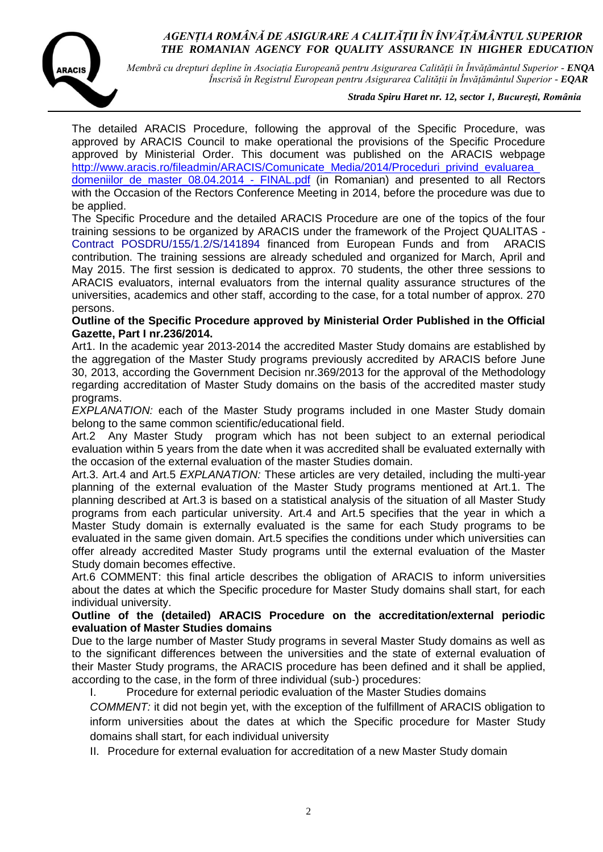

*Membră cu drepturi depline în Asociația Europeană pentru Asigurarea Calității în Învățământul Superior - ENQA Înscrisă în Registrul European pentru Asigurarea Calității în Învățământul Superior - EQAR*

#### *Strada Spiru Haret nr. 12, sector 1, Bucureşti, România*

The detailed ARACIS Procedure, following the approval of the Specific Procedure, was approved by ARACIS Council to make operational the provisions of the Specific Procedure approved by Ministerial Order. This document was published on the ARACIS webpage http://www.aracis.ro/fileadmin/ARACIS/Comunicate\_Media/2014/Proceduri\_privind\_evaluarea [domeniilor\\_de\\_master\\_08.04.2014\\_-\\_FINAL.pdf](http://www.aracis.ro/fileadmin/ARACIS/Comunicate_Media/2014/Proceduri_privind_evaluarea_domeniilor_de_master_08.04.2014_-_FINAL.pdf) (in Romanian) and presented to all Rectors with the Occasion of the Rectors Conference Meeting in 2014, before the procedure was due to be applied.

The Specific Procedure and the detailed ARACIS Procedure are one of the topics of the four training sessions to be organized by ARACIS under the framework of the Project QUALITAS - Contract POSDRU/155/1.2/S/141894 financed from European Funds and from ARACIS contribution. The training sessions are already scheduled and organized for March, April and May 2015. The first session is dedicated to approx. 70 students, the other three sessions to ARACIS evaluators, internal evaluators from the internal quality assurance structures of the universities, academics and other staff, according to the case, for a total number of approx. 270 persons.

#### **Outline of the Specific Procedure approved by Ministerial Order Published in the Official Gazette, Part I nr.236/2014.**

Art1. In the academic year 2013-2014 the accredited Master Study domains are established by the aggregation of the Master Study programs previously accredited by ARACIS before June 30, 2013, according the Government Decision nr.369/2013 for the approval of the Methodology regarding accreditation of Master Study domains on the basis of the accredited master study programs.

*EXPLANATION:* each of the Master Study programs included in one Master Study domain belong to the same common scientific/educational field.

Art.2 Any Master Study program which has not been subject to an external periodical evaluation within 5 years from the date when it was accredited shall be evaluated externally with the occasion of the external evaluation of the master Studies domain.

Art.3. Art.4 and Art.5 *EXPLANATION:* These articles are very detailed, including the multi-year planning of the external evaluation of the Master Study programs mentioned at Art.1. The planning described at Art.3 is based on a statistical analysis of the situation of all Master Study programs from each particular university. Art.4 and Art.5 specifies that the year in which a Master Study domain is externally evaluated is the same for each Study programs to be evaluated in the same given domain. Art.5 specifies the conditions under which universities can offer already accredited Master Study programs until the external evaluation of the Master Study domain becomes effective.

Art.6 COMMENT: this final article describes the obligation of ARACIS to inform universities about the dates at which the Specific procedure for Master Study domains shall start, for each individual university.

#### **Outline of the (detailed) ARACIS Procedure on the accreditation/external periodic evaluation of Master Studies domains**

Due to the large number of Master Study programs in several Master Study domains as well as to the significant differences between the universities and the state of external evaluation of their Master Study programs, the ARACIS procedure has been defined and it shall be applied, according to the case, in the form of three individual (sub-) procedures:

I. Procedure for external periodic evaluation of the Master Studies domains

*COMMENT:* it did not begin yet, with the exception of the fulfillment of ARACIS obligation to inform universities about the dates at which the Specific procedure for Master Study domains shall start, for each individual university

II. Procedure for external evaluation for accreditation of a new Master Study domain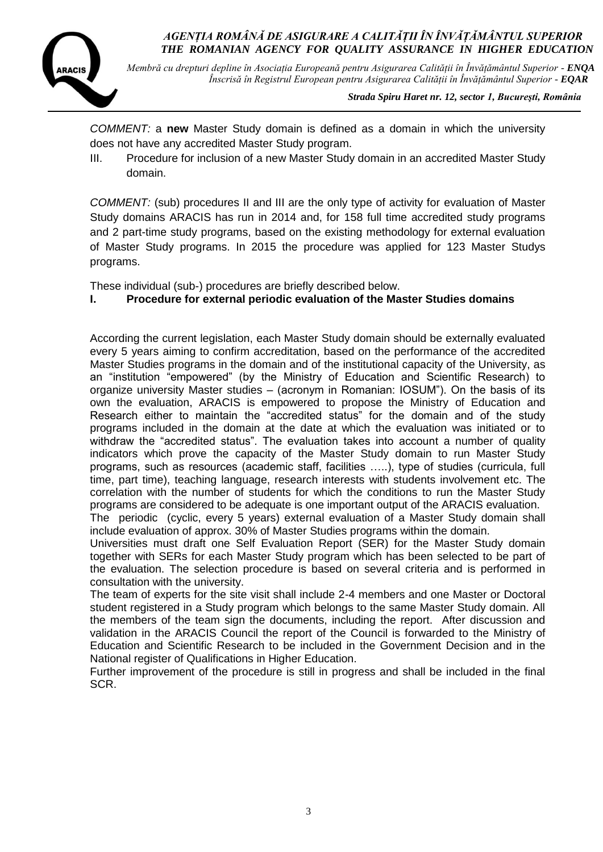

*Membră cu drepturi depline în Asociația Europeană pentru Asigurarea Calității în Învățământul Superior - ENQA Înscrisă în Registrul European pentru Asigurarea Calității în Învățământul Superior - EQAR*

 *Strada Spiru Haret nr. 12, sector 1, Bucureşti, România*

*COMMENT:* a **new** Master Study domain is defined as a domain in which the university does not have any accredited Master Study program.

III. Procedure for inclusion of a new Master Study domain in an accredited Master Study domain.

*COMMENT:* (sub) procedures II and III are the only type of activity for evaluation of Master Study domains ARACIS has run in 2014 and, for 158 full time accredited study programs and 2 part-time study programs, based on the existing methodology for external evaluation of Master Study programs. In 2015 the procedure was applied for 123 Master Studys programs.

These individual (sub-) procedures are briefly described below.

## **I. Procedure for external periodic evaluation of the Master Studies domains**

According the current legislation, each Master Study domain should be externally evaluated every 5 years aiming to confirm accreditation, based on the performance of the accredited Master Studies programs in the domain and of the institutional capacity of the University, as an "institution "empowered" (by the Ministry of Education and Scientific Research) to organize university Master studies – (acronym in Romanian: IOSUM"). On the basis of its own the evaluation, ARACIS is empowered to propose the Ministry of Education and Research either to maintain the "accredited status" for the domain and of the study programs included in the domain at the date at which the evaluation was initiated or to withdraw the "accredited status". The evaluation takes into account a number of quality indicators which prove the capacity of the Master Study domain to run Master Study programs, such as resources (academic staff, facilities …..), type of studies (curricula, full time, part time), teaching language, research interests with students involvement etc. The correlation with the number of students for which the conditions to run the Master Study programs are considered to be adequate is one important output of the ARACIS evaluation.

The periodic (cyclic, every 5 years) external evaluation of a Master Study domain shall include evaluation of approx. 30% of Master Studies programs within the domain.

Universities must draft one Self Evaluation Report (SER) for the Master Study domain together with SERs for each Master Study program which has been selected to be part of the evaluation. The selection procedure is based on several criteria and is performed in consultation with the university.

The team of experts for the site visit shall include 2-4 members and one Master or Doctoral student registered in a Study program which belongs to the same Master Study domain. All the members of the team sign the documents, including the report. After discussion and validation in the ARACIS Council the report of the Council is forwarded to the Ministry of Education and Scientific Research to be included in the Government Decision and in the National register of Qualifications in Higher Education.

Further improvement of the procedure is still in progress and shall be included in the final SCR.